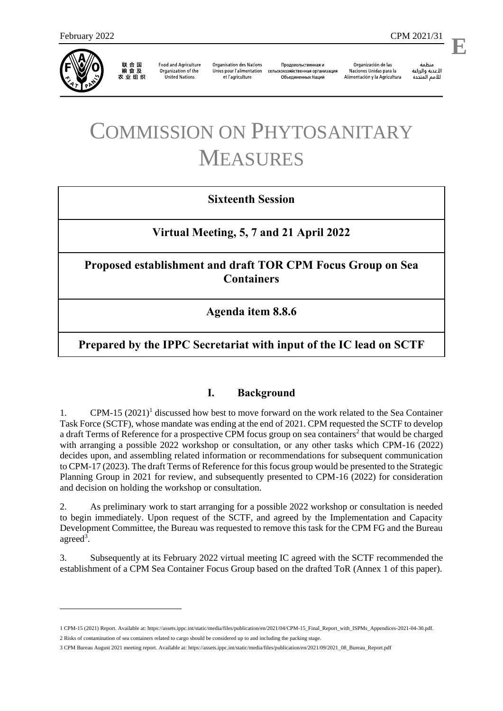

农业组织

**Food and Agriculture** Organization of the **United Nations** 

**Organisation des Nations** Unies pour l'alimentation et l'agriculture

Продовольственная и сельскохозяйственная организация Объелиненных Наций

Organización de las Naciones Unidas para la Alimentación y la Agricultura

منظمة الأغذية والزراعة للأمم المتحدة

# COMMISSION ON PHYTOSANITARY MEASURES

# **Sixteenth Session**

# **Virtual Meeting, 5, 7 and 21 April 2022**

# **Proposed establishment and draft TOR CPM Focus Group on Sea Containers**

**Agenda item 8.8.6**

# **Prepared by the IPPC Secretariat with input of the IC lead on SCTF**

## **I. Background**

1. CPM-15 (2021)<sup>1</sup> discussed how best to move forward on the work related to the Sea Container Task Force (SCTF), whose mandate was ending at the end of 2021. CPM requested the SCTF to develop a draft Terms of Reference for a prospective CPM focus group on sea containers<sup>2</sup> that would be charged with arranging a possible 2022 workshop or consultation, or any other tasks which CPM-16 (2022) decides upon, and assembling related information or recommendations for subsequent communication to CPM-17 (2023). The draft Terms of Reference for this focus group would be presented to the Strategic Planning Group in 2021 for review, and subsequently presented to CPM-16 (2022) for consideration and decision on holding the workshop or consultation.

2. As preliminary work to start arranging for a possible 2022 workshop or consultation is needed to begin immediately. Upon request of the SCTF, and agreed by the Implementation and Capacity Development Committee, the Bureau was requested to remove this task for the CPM FG and the Bureau agreed<sup>3</sup>.

3. Subsequently at its February 2022 virtual meeting IC agreed with the SCTF recommended the establishment of a CPM Sea Container Focus Group based on the drafted ToR (Annex 1 of this paper).

<sup>1</sup> CPM-15 (2021) Report. Available at[: https://assets.ippc.int/static/media/files/publication/en/2021/04/CPM-15\\_Final\\_Report\\_with\\_ISPMs\\_Appendices-2021-04-30.pdf.](https://assets.ippc.int/static/media/files/publication/en/2021/04/CPM-15_Final_Report_with_ISPMs_Appendices-2021-04-30.pdf) 2 Risks of contamination of sea containers related to cargo should be considered up to and including the packing stage.

<sup>3</sup> CPM Bureau August 2021 meeting report. Available at[: https://assets.ippc.int/static/media/files/publication/en/2021/09/2021\\_08\\_Bureau\\_Report.pdf](https://assets.ippc.int/static/media/files/publication/en/2021/09/2021_08_Bureau_Report.pdf)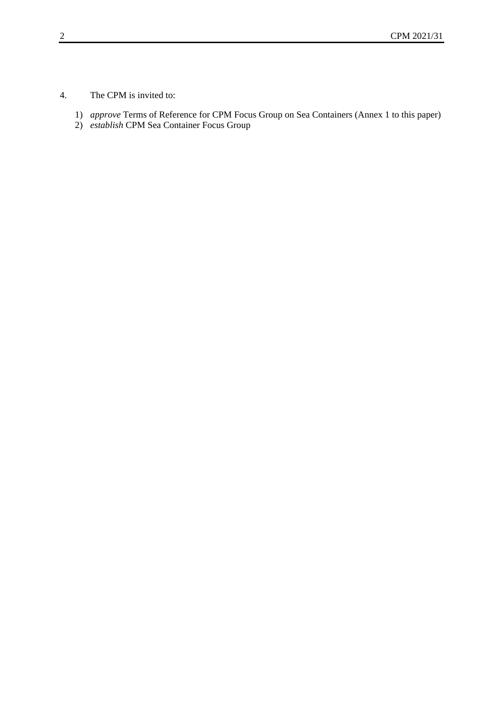4. The CPM is invited to:

- 1) *approve* Terms of Reference for CPM Focus Group on Sea Containers (Annex 1 to this paper)
- 2) *establish* CPM Sea Container Focus Group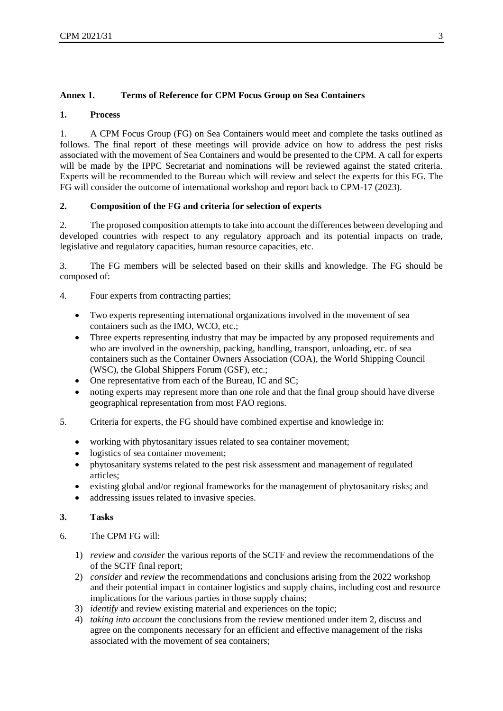## **Annex 1. Terms of Reference for CPM Focus Group on Sea Containers**

#### **1. Process**

1. A CPM Focus Group (FG) on Sea Containers would meet and complete the tasks outlined as follows. The final report of these meetings will provide advice on how to address the pest risks associated with the movement of Sea Containers and would be presented to the CPM. A call for experts will be made by the IPPC Secretariat and nominations will be reviewed against the stated criteria. Experts will be recommended to the Bureau which will review and select the experts for this FG. The FG will consider the outcome of international workshop and report back to CPM-17 (2023).

### **2. Composition of the FG and criteria for selection of experts**

2. The proposed composition attempts to take into account the differences between developing and developed countries with respect to any regulatory approach and its potential impacts on trade, legislative and regulatory capacities, human resource capacities, etc.

3. The FG members will be selected based on their skills and knowledge. The FG should be composed of:

- 4. Four experts from contracting parties;
	- Two experts representing international organizations involved in the movement of sea containers such as the IMO, WCO, etc.;
	- Three experts representing industry that may be impacted by any proposed requirements and who are involved in the ownership, packing, handling, transport, unloading, etc. of sea containers such as the Container Owners Association (COA), the World Shipping Council (WSC), the Global Shippers Forum (GSF), etc.;
	- One representative from each of the Bureau, IC and SC;
	- noting experts may represent more than one role and that the final group should have diverse geographical representation from most FAO regions.
- 5. Criteria for experts, the FG should have combined expertise and knowledge in:
	- working with phytosanitary issues related to sea container movement;
	- logistics of sea container movement;
	- phytosanitary systems related to the pest risk assessment and management of regulated articles;
	- existing global and/or regional frameworks for the management of phytosanitary risks; and
	- addressing issues related to invasive species.

### **3. Tasks**

- 6. The CPM FG will:
	- 1) *review* and *consider* the various reports of the SCTF and review the recommendations of the of the SCTF final report;
	- 2) *consider* and *review* the recommendations and conclusions arising from the 2022 workshop and their potential impact in container logistics and supply chains, including cost and resource implications for the various parties in those supply chains;
	- 3) *identify* and review existing material and experiences on the topic;
	- 4) *taking into account* the conclusions from the review mentioned under item 2, discuss and agree on the components necessary for an efficient and effective management of the risks associated with the movement of sea containers;